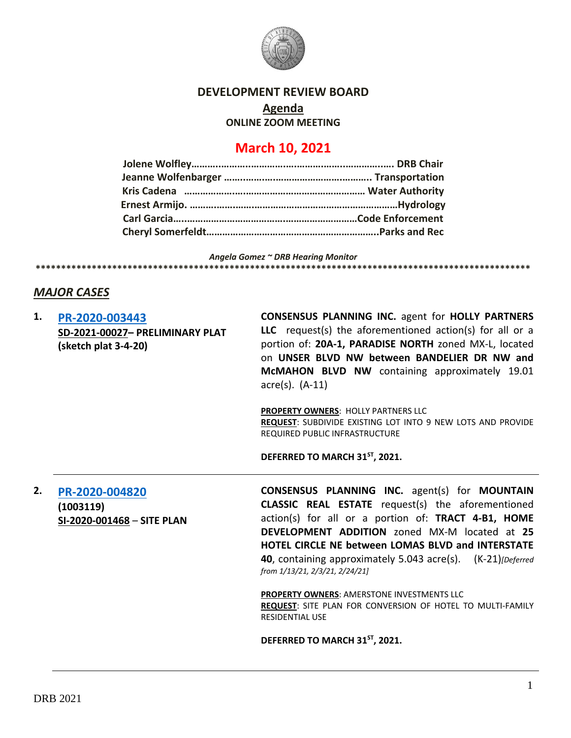

## **DEVELOPMENT REVIEW BOARD**

**Agenda**

**ONLINE ZOOM MEETING**

# **March 10, 2021**

*Angela Gomez ~ DRB Hearing Monitor* **\*\*\*\*\*\*\*\*\*\*\*\*\*\*\*\*\*\*\*\*\*\*\*\*\*\*\*\*\*\*\*\*\*\*\*\*\*\*\*\*\*\*\*\*\*\*\*\*\*\*\*\*\*\*\*\*\*\*\*\*\*\*\*\*\*\*\*\*\*\*\*\*\*\*\*\*\*\*\*\*\*\*\*\*\*\*\*\*\*\*\*\*\*\*\*\*\***

# *MAJOR CASES*

| 1. | PR-2020-003443<br>SD-2021-00027- PRELIMINARY PLAT<br>(sketch plat 3-4-20) | <b>CONSENSUS PLANNING INC. agent for HOLLY PARTNERS</b><br>LLC request(s) the aforementioned $action(s)$ for all or a<br>portion of: 20A-1, PARADISE NORTH zoned MX-L, located<br>on UNSER BLVD NW between BANDELIER DR NW and<br>McMAHON BLVD NW containing approximately 19.01<br>$\arccos(5)$ . $(A-11)$                                                                                    |  |  |  |
|----|---------------------------------------------------------------------------|------------------------------------------------------------------------------------------------------------------------------------------------------------------------------------------------------------------------------------------------------------------------------------------------------------------------------------------------------------------------------------------------|--|--|--|
|    |                                                                           | <b>PROPERTY OWNERS: HOLLY PARTNERS LLC</b><br>REQUEST: SUBDIVIDE EXISTING LOT INTO 9 NEW LOTS AND PROVIDE<br>REQUIRED PUBLIC INFRASTRUCTURE                                                                                                                                                                                                                                                    |  |  |  |
|    |                                                                           | DEFERRED TO MARCH 31ST, 2021.                                                                                                                                                                                                                                                                                                                                                                  |  |  |  |
| 2. | PR-2020-004820<br>(1003119)<br>SI-2020-001468 - SITE PLAN                 | <b>CONSENSUS PLANNING INC.</b> agent(s) for <b>MOUNTAIN</b><br><b>CLASSIC REAL ESTATE</b> request(s) the aforementioned<br>action(s) for all or a portion of: TRACT 4-B1, HOME<br>DEVELOPMENT ADDITION zoned MX-M located at 25<br><b>HOTEL CIRCLE NE between LOMAS BLVD and INTERSTATE</b><br>40, containing approximately 5.043 acre(s). (K-21) [Deferred]<br>from 1/13/21, 2/3/21, 2/24/21] |  |  |  |
|    |                                                                           | <b>PROPERTY OWNERS: AMERSTONE INVESTMENTS LLC</b><br>REQUEST: SITE PLAN FOR CONVERSION OF HOTEL TO MULTI-FAMILY<br><b>RESIDENTIAL USE</b>                                                                                                                                                                                                                                                      |  |  |  |
|    |                                                                           | DEFERRED TO MARCH 31ST, 2021.                                                                                                                                                                                                                                                                                                                                                                  |  |  |  |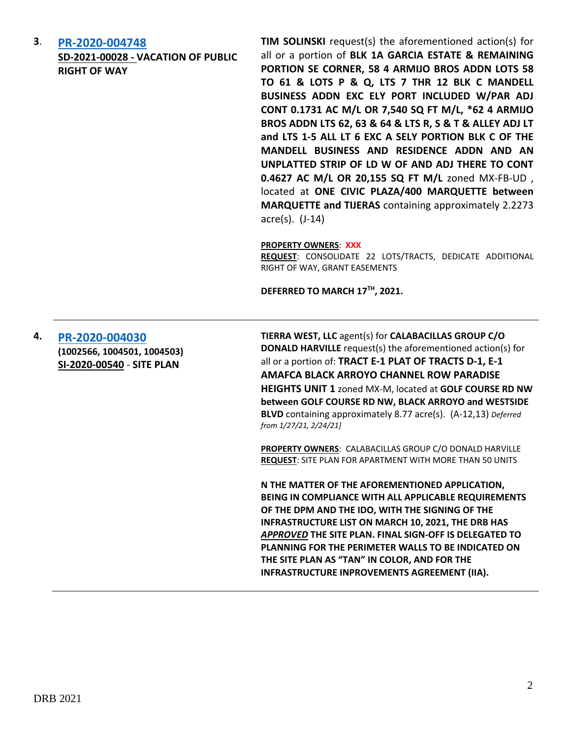**3**. **[PR-2020-004748](http://data.cabq.gov/government/planning/DRB/PR-2020-004748/DRB%20Submittals/PR-2020-004748_March_10_2021/Application/PR-2020-004748_DRB_app_Vacation.pdf)**

**SD-2021-00028 - VACATION OF PUBLIC RIGHT OF WAY**

**TIM SOLINSKI** request(s) the aforementioned action(s) for all or a portion of **BLK 1A GARCIA ESTATE & REMAINING PORTION SE CORNER, 58 4 ARMIJO BROS ADDN LOTS 58 TO 61 & LOTS P & Q, LTS 7 THR 12 BLK C MANDELL BUSINESS ADDN EXC ELY PORT INCLUDED W/PAR ADJ CONT 0.1731 AC M/L OR 7,540 SQ FT M/L, \*62 4 ARMIJO BROS ADDN LTS 62, 63 & 64 & LTS R, S & T & ALLEY ADJ LT and LTS 1-5 ALL LT 6 EXC A SELY PORTION BLK C OF THE MANDELL BUSINESS AND RESIDENCE ADDN AND AN UNPLATTED STRIP OF LD W OF AND ADJ THERE TO CONT 0.4627 AC M/L OR 20,155 SQ FT M/L** zoned MX-FB-UD , located at **ONE CIVIC PLAZA/400 MARQUETTE between MARQUETTE and TIJERAS** containing approximately 2.2273 acre(s). (J-14)

#### **PROPERTY OWNERS**: **XXX**

**REQUEST**: CONSOLIDATE 22 LOTS/TRACTS, DEDICATE ADDITIONAL RIGHT OF WAY, GRANT EASEMENTS

**DEFERRED TO MARCH 17TH, 2021.**

### **4. [PR-2020-004030](http://data.cabq.gov/government/planning/DRB/PR-2020-004030/DRB%20SUBMITTALS/) (1002566, 1004501, 1004503) SI-2020-00540** - **SITE PLAN**

**TIERRA WEST, LLC** agent(s) for **CALABACILLAS GROUP C/O DONALD HARVILLE** request(s) the aforementioned action(s) for all or a portion of: **TRACT E-1 PLAT OF TRACTS D-1, E-1 AMAFCA BLACK ARROYO CHANNEL ROW PARADISE HEIGHTS UNIT 1** zoned MX-M, located at **GOLF COURSE RD NW between GOLF COURSE RD NW, BLACK ARROYO and WESTSIDE BLVD** containing approximately 8.77 acre(s). (A-12,13) *Deferred from 1/27/21, 2/24/21]*

**PROPERTY OWNERS**: CALABACILLAS GROUP C/O DONALD HARVILLE **REQUEST**: SITE PLAN FOR APARTMENT WITH MORE THAN 50 UNITS

**N THE MATTER OF THE AFOREMENTIONED APPLICATION, BEING IN COMPLIANCE WITH ALL APPLICABLE REQUIREMENTS OF THE DPM AND THE IDO, WITH THE SIGNING OF THE INFRASTRUCTURE LIST ON MARCH 10, 2021, THE DRB HAS**  *APPROVED* **THE SITE PLAN. FINAL SIGN-OFF IS DELEGATED TO PLANNING FOR THE PERIMETER WALLS TO BE INDICATED ON THE SITE PLAN AS "TAN" IN COLOR, AND FOR THE INFRASTRUCTURE INPROVEMENTS AGREEMENT (IIA).**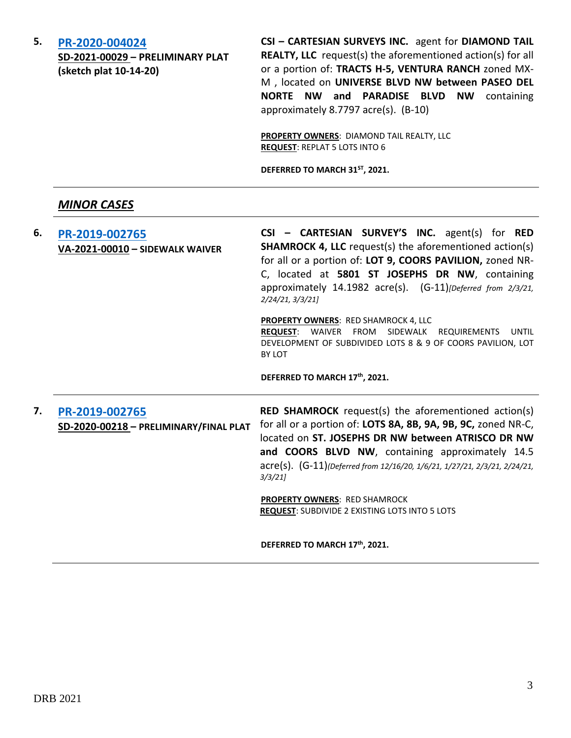| 5. |  |  |  | PR-2020-004024 |
|----|--|--|--|----------------|
|    |  |  |  |                |

**SD-2021-00029 – PRELIMINARY PLAT (sketch plat 10-14-20)**

**CSI – CARTESIAN SURVEYS INC.** agent for **DIAMOND TAIL REALTY, LLC** request(s) the aforementioned action(s) for all or a portion of: **TRACTS H-5, VENTURA RANCH** zoned MX-M , located on **UNIVERSE BLVD NW between PASEO DEL NORTE NW and PARADISE BLVD NW** containing approximately 8.7797 acre(s). (B-10)

**PROPERTY OWNERS**: DIAMOND TAIL REALTY, LLC **REQUEST**: REPLAT 5 LOTS INTO 6

**DEFERRED TO MARCH 31ST, 2021.**

### *MINOR CASES*

| 6. | PR-2019-002765<br>VA-2021-00010 - SIDEWALK WAIVER        | CSI - CARTESIAN SURVEY'S INC. agent(s) for RED<br><b>SHAMROCK 4, LLC</b> request(s) the aforementioned action(s)<br>for all or a portion of: LOT 9, COORS PAVILION, zoned NR-<br>C, located at 5801 ST JOSEPHS DR NW, containing<br>approximately 14.1982 acre(s). (G-11)[Deferred from 2/3/21,<br>2/24/21, 3/3/21                                                                                               |  |  |  |
|----|----------------------------------------------------------|------------------------------------------------------------------------------------------------------------------------------------------------------------------------------------------------------------------------------------------------------------------------------------------------------------------------------------------------------------------------------------------------------------------|--|--|--|
|    |                                                          | <b>PROPERTY OWNERS: RED SHAMROCK 4, LLC</b><br><b>REQUEST:</b> WAIVER FROM SIDEWALK REQUIREMENTS<br>UNTIL<br>DEVELOPMENT OF SUBDIVIDED LOTS 8 & 9 OF COORS PAVILION, LOT<br>BY LOT                                                                                                                                                                                                                               |  |  |  |
|    |                                                          | DEFERRED TO MARCH 17th, 2021.                                                                                                                                                                                                                                                                                                                                                                                    |  |  |  |
| 7. | PR-2019-002765<br>SD-2020-00218 - PRELIMINARY/FINAL PLAT | <b>RED SHAMROCK</b> request(s) the aforementioned action(s)<br>for all or a portion of: LOTS 8A, 8B, 9A, 9B, 9C, zoned NR-C,<br>located on ST. JOSEPHS DR NW between ATRISCO DR NW<br>and COORS BLVD NW, containing approximately 14.5<br>acre(s). (G-11)(Deferred from 12/16/20, 1/6/21, 1/27/21, 2/3/21, 2/24/21,<br>3/3/21<br>PROPERTY OWNERS: RED SHAMROCK<br>REQUEST: SUBDIVIDE 2 EXISTING LOTS INTO 5 LOTS |  |  |  |
|    |                                                          | DEFERRED TO MARCH 17th, 2021.                                                                                                                                                                                                                                                                                                                                                                                    |  |  |  |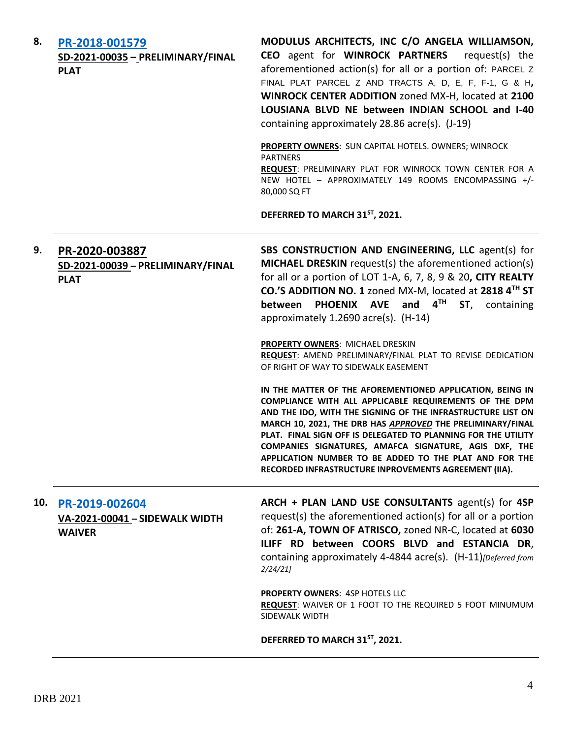| 8.  | PR-2018-001579<br>SD-2021-00035 - PRELIMINARY/FINAL<br><b>PLAT</b> | MODULUS ARCHITECTS, INC C/O ANGELA WILLIAMSON,<br>CEO agent for WINROCK PARTNERS<br>request(s) the<br>aforementioned action(s) for all or a portion of: PARCEL Z<br>FINAL PLAT PARCEL Z AND TRACTS A, D, E, F, F-1, G & H,<br>WINROCK CENTER ADDITION zoned MX-H, located at 2100<br>LOUSIANA BLVD NE between INDIAN SCHOOL and I-40<br>containing approximately 28.86 acre(s). (J-19)                                                                                                        |  |  |
|-----|--------------------------------------------------------------------|-----------------------------------------------------------------------------------------------------------------------------------------------------------------------------------------------------------------------------------------------------------------------------------------------------------------------------------------------------------------------------------------------------------------------------------------------------------------------------------------------|--|--|
|     |                                                                    | PROPERTY OWNERS: SUN CAPITAL HOTELS. OWNERS; WINROCK<br><b>PARTNERS</b><br>REQUEST: PRELIMINARY PLAT FOR WINROCK TOWN CENTER FOR A<br>NEW HOTEL - APPROXIMATELY 149 ROOMS ENCOMPASSING +/-<br>80,000 SQ FT                                                                                                                                                                                                                                                                                    |  |  |
|     |                                                                    | DEFERRED TO MARCH 31ST, 2021.                                                                                                                                                                                                                                                                                                                                                                                                                                                                 |  |  |
| 9.  | PR-2020-003887<br>SD-2021-00039 - PRELIMINARY/FINAL<br><b>PLAT</b> | SBS CONSTRUCTION AND ENGINEERING, LLC agent(s) for<br>MICHAEL DRESKIN request(s) the aforementioned action(s)<br>for all or a portion of LOT 1-A, 6, 7, 8, 9 & 20, CITY REALTY<br>CO.'S ADDITION NO. 1 zoned MX-M, located at 2818 4 <sup>TH</sup> ST<br><b>PHOENIX AVE</b><br>and $4^{\text{TH}}$<br>ST, containing<br>between<br>approximately 1.2690 acre(s). (H-14)                                                                                                                       |  |  |
|     |                                                                    | PROPERTY OWNERS: MICHAEL DRESKIN<br>REQUEST: AMEND PRELIMINARY/FINAL PLAT TO REVISE DEDICATION<br>OF RIGHT OF WAY TO SIDEWALK EASEMENT                                                                                                                                                                                                                                                                                                                                                        |  |  |
|     |                                                                    | IN THE MATTER OF THE AFOREMENTIONED APPLICATION, BEING IN<br>COMPLIANCE WITH ALL APPLICABLE REQUIREMENTS OF THE DPM<br>AND THE IDO, WITH THE SIGNING OF THE INFRASTRUCTURE LIST ON<br>MARCH 10, 2021, THE DRB HAS APPROVED THE PRELIMINARY/FINAL<br>PLAT. FINAL SIGN OFF IS DELEGATED TO PLANNING FOR THE UTILITY<br>COMPANIES SIGNATURES, AMAFCA SIGNATURE, AGIS DXF, THE<br>APPLICATION NUMBER TO BE ADDED TO THE PLAT AND FOR THE<br>RECORDED INFRASTRUCTURE INPROVEMENTS AGREEMENT (IIA). |  |  |
| 10. | PR-2019-002604<br>VA-2021-00041 - SIDEWALK WIDTH<br><b>WAIVER</b>  | ARCH + PLAN LAND USE CONSULTANTS agent(s) for 4SP<br>request(s) the aforementioned action(s) for all or a portion<br>of: 261-A, TOWN OF ATRISCO, zoned NR-C, located at 6030<br>ILIFF RD between COORS BLVD and ESTANCIA DR,<br>containing approximately 4-4844 acre(s). (H-11)[Deferred from<br>2/24/21                                                                                                                                                                                      |  |  |
|     |                                                                    | <b>PROPERTY OWNERS: 4SP HOTELS LLC</b><br>REQUEST: WAIVER OF 1 FOOT TO THE REQUIRED 5 FOOT MINUMUM<br>SIDEWALK WIDTH                                                                                                                                                                                                                                                                                                                                                                          |  |  |
|     |                                                                    | DEFERRED TO MARCH 31ST, 2021.                                                                                                                                                                                                                                                                                                                                                                                                                                                                 |  |  |